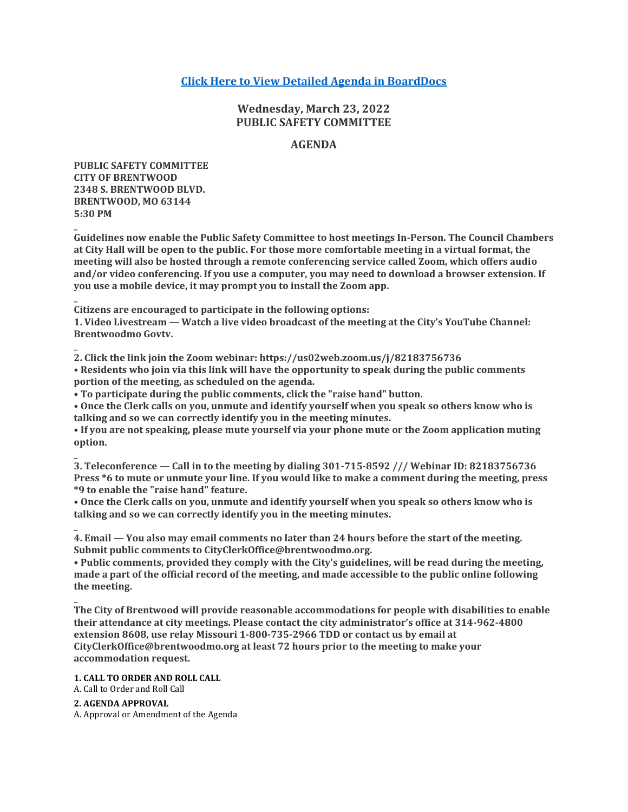# **[Click Here to View Detailed Agenda in BoardDocs](http://go.boarddocs.com/mo/cob/Board.nsf/goto?open&id=CBX9TW7A6EB1)**

# **Wednesday, March 23, 2022 PUBLIC SAFETY COMMITTEE**

# **AGENDA**

**PUBLIC SAFETY COMMITTEE CITY OF BRENTWOOD 2348 S. BRENTWOOD BLVD. BRENTWOOD, MO 63144 5:30 PM**

**\_**

**\_**

**\_**

**\_**

**Guidelines now enable the Public Safety Committee to host meetings In-Person. The Council Chambers at City Hall will be open to the public. For those more comfortable meeting in a virtual format, the meeting will also be hosted through a remote conferencing service called Zoom, which offers audio and/or video conferencing. If you use a computer, you may need to download a browser extension. If you use a mobile device, it may prompt you to install the Zoom app.**

**Citizens are encouraged to participate in the following options:**

**1. Video Livestream — Watch a live video broadcast of the meeting at the City's YouTube Channel: Brentwoodmo Govtv.**

**2. Click the link join the Zoom webinar: https://us02web.zoom.us/j/82183756736 • Residents who join via this link will have the opportunity to speak during the public comments portion of the meeting, as scheduled on the agenda.**

**• To participate during the public comments, click the "raise hand" button.**

**• Once the Clerk calls on you, unmute and identify yourself when you speak so others know who is talking and so we can correctly identify you in the meeting minutes.**

**• If you are not speaking, please mute yourself via your phone mute or the Zoom application muting option.**

**\_ 3. Teleconference — Call in to the meeting by dialing 301-715-8592 /// Webinar ID: 82183756736 Press \*6 to mute or unmute your line. If you would like to make a comment during the meeting, press \*9 to enable the "raise hand" feature.**

**• Once the Clerk calls on you, unmute and identify yourself when you speak so others know who is talking and so we can correctly identify you in the meeting minutes.**

**\_ 4. Email — You also may email comments no later than 24 hours before the start of the meeting. Submit public comments to CityClerkOffice@brentwoodmo.org.**

**• Public comments, provided they comply with the City's guidelines, will be read during the meeting, made a part of the official record of the meeting, and made accessible to the public online following the meeting.**

**The City of Brentwood will provide reasonable accommodations for people with disabilities to enable their attendance at city meetings. Please contact the city administrator's office at 314-962-4800 extension 8608, use relay Missouri 1-800-735-2966 TDD or contact us by email at CityClerkOffice@brentwoodmo.org at least 72 hours prior to the meeting to make your accommodation request.**

**1. CALL TO ORDER AND ROLL CALL**

A. Call to Order and Roll Call

## **2. AGENDA APPROVAL**

A. Approval or Amendment of the Agenda